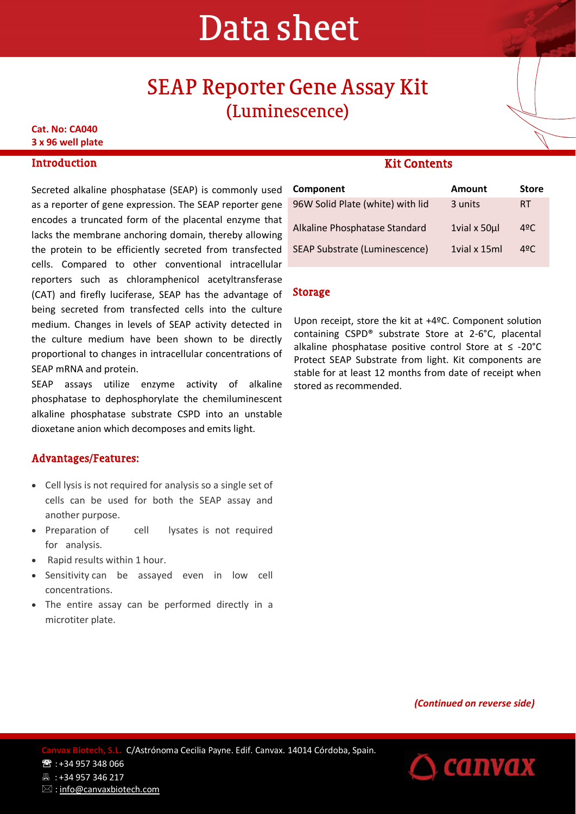# Data sheet

## SEAP Reporter Gene Assay Kit (Luminescence)

**Cat. No: CA040 3 x 96 well plate**

#### **Introduction**

Secreted alkaline phosphatase (SEAP) is commonly used as a reporter of gene expression. The SEAP reporter gene encodes a truncated form of the placental enzyme that lacks the membrane anchoring domain, thereby allowing the protein to be efficiently secreted from transfected cells. Compared to other conventional intracellular reporters such as chloramphenicol acetyltransferase (CAT) and firefly luciferase, SEAP has the advantage of being secreted from transfected cells into the culture medium. Changes in levels of SEAP activity detected in the culture medium have been shown to be directly proportional to changes in intracellular concentrations of SEAP mRNA and protein.

SEAP assays utilize enzyme activity of alkaline phosphatase to dephosphorylate the chemiluminescent alkaline phosphatase substrate CSPD into an unstable dioxetane anion which decomposes and emits light.

#### Advantages/Features:

- Cell lysis is not required for analysis so a single set of cells can be used for both the SEAP assay and another purpose.
- Preparation of cell lysates is not required for analysis.
- Rapid results within 1 hour.
- Sensitivity can be assayed even in low cell concentrations.
- The entire assay can be performed directly in a microtiter plate.

#### Kit Contents

| Component                            | <b>Amount</b>  | <b>Store</b>  |
|--------------------------------------|----------------|---------------|
| 96W Solid Plate (white) with lid     | 3 units        | RT            |
| Alkaline Phosphatase Standard        | 1vial x 50ul   | $4^{\circ}$ C |
| <b>SEAP Substrate (Luminescence)</b> | 1 vial x 15 ml | 49C           |

#### Storage

Upon receipt, store the kit at +4ºC. Component solution containing CSPD® substrate Store at 2-6°C, placental alkaline phosphatase positive control Store at ≤ -20°C Protect SEAP Substrate from light. Kit components are stable for at least 12 months from date of receipt when stored as recommended.

*(Continued on reverse side)*